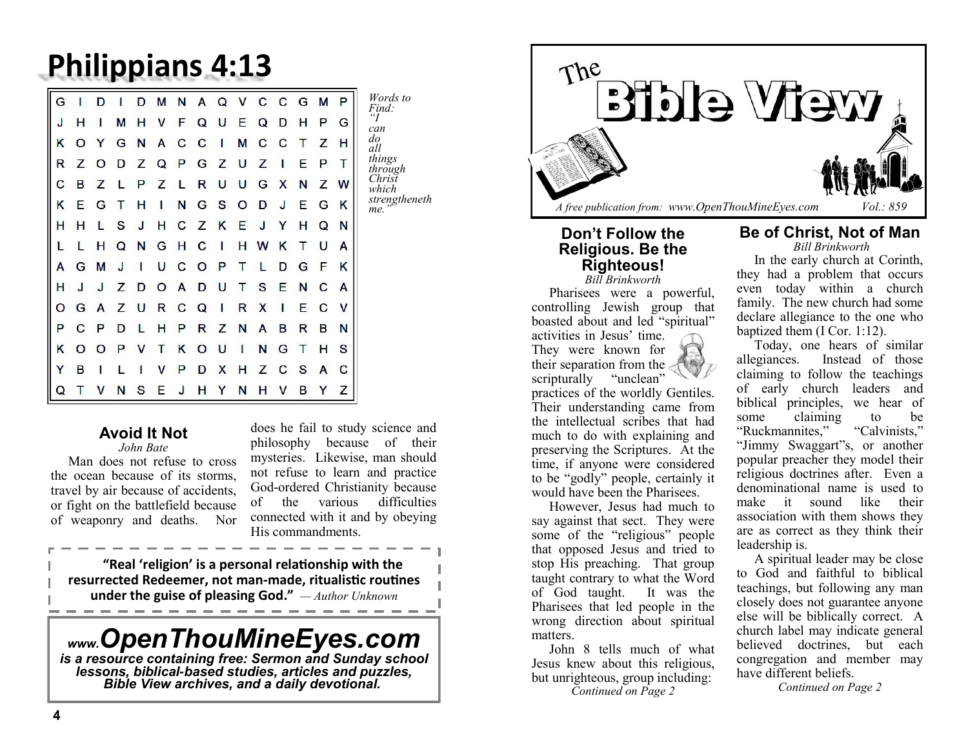## **Philippians 4:13**

| ║<br>G |   |   |   |   | М | N | A | Q | v | C | $\mathbf C$ | G | М | P |
|--------|---|---|---|---|---|---|---|---|---|---|-------------|---|---|---|
| J      | н | ı | м | н | v | F | Q | U | Е | Q | D           | н | P | G |
| κ      | O | Y | G | N | A | С | C | ı | М | C | C           |   | Z | н |
| R      | z | O | D | Z | Q | P | G | Z | U | z | ı           | E | P | Т |
| с      | в | z |   | P | z |   | R | U | U | G | x           | N | z | w |
| K      | Е | G |   | н | ı | N | G | s | Ω | D | J           | Е | G | K |
| н      | н |   | S | J | н | с | z | ĸ | Е |   |             | н | Q | N |
|        |   | н | Q | N | G | н | C | ı | н | w | κ           | т | U | А |
| А      | G | М | J | ı | U | с | O | P |   |   | D           | G | F | Κ |
| н      | J | J | z | D | O | A | D | υ |   | s | E           | N | С | A |
| O      | G | A | z | U | R | с | Q | ı | R | x | ı           | E | с | v |
| P      | C | P | D |   | н | P | R | z | N | A | в           | R | в | N |
| κ      | O | Ω | P | v | т | ĸ | O | U | ı | Ν | G           | т | н | S |
| Y      | в | ı |   |   | v | P | D | х | н | Z | C           | s | A | С |
| Q      |   |   |   | s | Е | J | н | Y | N | н | v           | В | Y | Z |

## **Avoid It Not**

*John Bate* Man does not refuse to cross the ocean because of its storms, travel by air because of accidents, or fight on the battlefield because of weaponry and deaths. Nor

does he fail to study science and philosophy because of their mysteries. Likewise, man should not refuse to learn and practice God-ordered Christianity because of the various difficulties connected with it and by obeying His commandments.

**"Real 'religion' is a personal relationship with the resurrected Redeemer, not man-made, ritualistic routines under the guise of pleasing God."** *— Author Unknown*

------------------

# *www.OpenThouMineEyes.com is a resource containing free: Sermon and Sunday school*

*lessons, biblical-based studies, articles and puzzles, Bible View archives, and a daily devotional..* 



#### **Don't Follow the Religious. Be the Righteous!** *Bill Brinkworth*

Pharisees were a powerful, controlling Jewish group that boasted about and led "spiritual" activities in Jesus' time. They were known for their separation from the scripturally "unclean" practices of the worldly Gentiles. Their understanding came from the intellectual scribes that had much to do with explaining and preserving the Scriptures. At the time, if anyone were considered to be "godly" people, certainly it would have been the Pharisees.

However, Jesus had much to say against that sect. They were some of the "religious" people that opposed Jesus and tried to stop His preaching. That group taught contrary to what the Word of God taught. It was the Pharisees that led people in the wrong direction about spiritual matters.

John 8 tells much of what Jesus knew about this religious, but unrighteous, group including: *Continued on Page 2*

#### **Be of Christ, Not of Man** *Bill Brinkworth*

In the early church at Corinth, they had a problem that occurs even today within a church family. The new church had some declare allegiance to the one who baptized them (I Cor. 1:12).

Today, one hears of similar allegiances. Instead of those claiming to follow the teachings of early church leaders and biblical principles, we hear of some claiming to be "Ruckmannites," "Calvinists," "Jimmy Swaggart"s, or another popular preacher they model their religious doctrines after. Even a denominational name is used to make it sound like their association with them shows they are as correct as they think their leadership is.

A spiritual leader may be close to God and faithful to biblical teachings, but following any man closely does not guarantee anyone else will be biblically correct. A church label may indicate general believed doctrines, but each congregation and member may have different beliefs.

*Continued on Page 2*